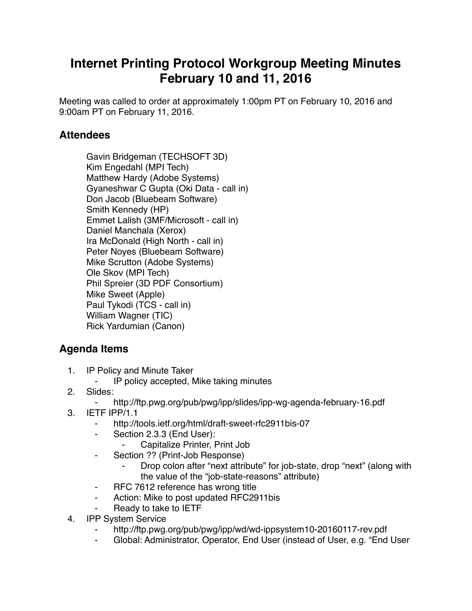## **Internet Printing Protocol Workgroup Meeting Minutes February 10 and 11, 2016**

Meeting was called to order at approximately 1:00pm PT on February 10, 2016 and 9:00am PT on February 11, 2016.

## **Attendees**

Gavin Bridgeman (TECHSOFT 3D) Kim Engedahl (MPI Tech) Matthew Hardy (Adobe Systems) Gyaneshwar C Gupta (Oki Data - call in) Don Jacob (Bluebeam Software) Smith Kennedy (HP) Emmet Lalish (3MF/Microsoft - call in) Daniel Manchala (Xerox) Ira McDonald (High North - call in) Peter Noyes (Bluebeam Software) Mike Scrutton (Adobe Systems) Ole Skov (MPI Tech) Phil Spreier (3D PDF Consortium) Mike Sweet (Apple) Paul Tykodi (TCS - call in) William Wagner (TIC) Rick Yardumian (Canon)

## **Agenda Items**

- 1. IP Policy and Minute Taker
	- ⁃ IP policy accepted, Mike taking minutes
- 2. Slides:
	- http://ftp.pwg.org/pub/pwg/ipp/slides/ipp-wg-agenda-february-16.pdf
- 3. IETF IPP/1.1
	- http://tools.ietf.org/html/draft-sweet-rfc2911bis-07
	- ⁃ Section 2.3.3 (End User):
		- Capitalize Printer, Print Job
	- ⁃ Section ?? (Print-Job Response)
		- Drop colon after "next attribute" for job-state, drop "next" (along with the value of the "job-state-reasons" attribute)
	- ⁃ RFC 7612 reference has wrong title
	- Action: Mike to post updated RFC2911bis
	- Ready to take to IETF
- 4. IPP System Service
	- http://ftp.pwg.org/pub/pwg/ipp/wd/wd-ippsystem10-20160117-rev.pdf
	- Global: Administrator, Operator, End User (instead of User, e.g. "End User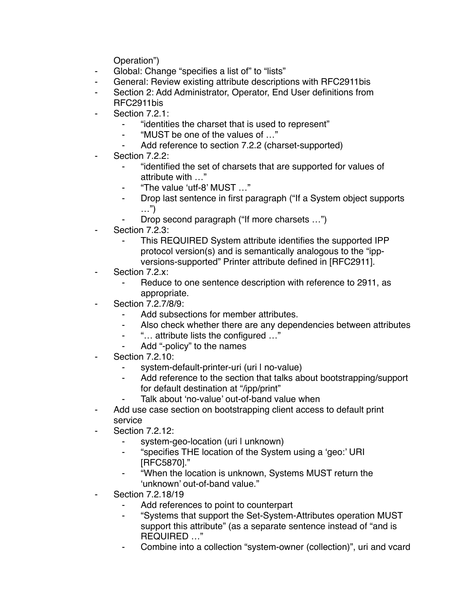Operation")

- ⁃ Global: Change "specifies a list of" to "lists"
- General: Review existing attribute descriptions with RFC2911bis
- Section 2: Add Administrator, Operator, End User definitions from RFC2911bis
- Section 7.2.1:
	- ⁃ "identities the charset that is used to represent"
	- ⁃ "MUST be one of the values of …"
	- Add reference to section 7.2.2 (charset-supported)
- Section 7.2.2:
	- ⁃ "identified the set of charsets that are supported for values of attribute with …"
	- ⁃ "The value 'utf-8' MUST …"
	- ⁃ Drop last sentence in first paragraph ("If a System object supports …")
	- ⁃ Drop second paragraph ("If more charsets …")
- Section 7.2.3:
	- This REQUIRED System attribute identifies the supported IPP protocol version(s) and is semantically analogous to the "ippversions-supported" Printer attribute defined in [RFC2911].
- Section 7.2.x:
	- Reduce to one sentence description with reference to 2911, as appropriate.
- ⁃ Section 7.2.7/8/9:
	- Add subsections for member attributes.
	- Also check whether there are any dependencies between attributes
	- ⁃ "… attribute lists the configured …"
	- Add "-policy" to the names
- **Section 7.2.10:** 
	- system-default-printer-uri (uri I no-value)
	- Add reference to the section that talks about bootstrapping/support for default destination at "/ipp/print"
	- Talk about 'no-value' out-of-band value when
- Add use case section on bootstrapping client access to default print service
- **Section 7.2.12:** 
	- ⁃ system-geo-location (uri | unknown)
	- ⁃ "specifies THE location of the System using a 'geo:' URI [RFC5870]."
	- ⁃ "When the location is unknown, Systems MUST return the 'unknown' out-of-band value."
- ⁃ Section 7.2.18/19
	- Add references to point to counterpart
	- ⁃ "Systems that support the Set-System-Attributes operation MUST support this attribute" (as a separate sentence instead of "and is REQUIRED …"
	- Combine into a collection "system-owner (collection)", uri and vcard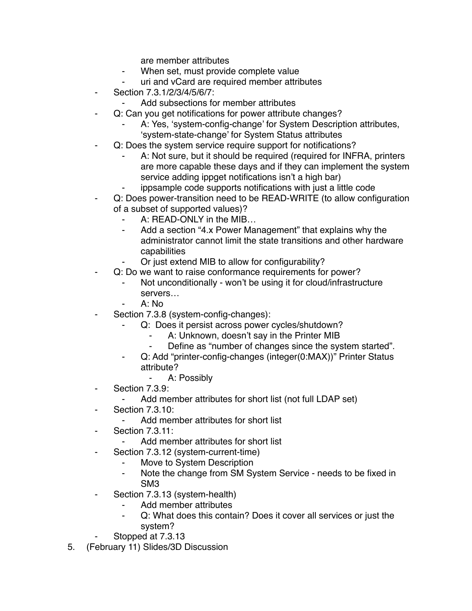are member attributes

- ⁃ When set, must provide complete value
- uri and vCard are required member attributes
- ⁃ Section 7.3.1/2/3/4/5/6/7:
	- Add subsections for member attributes
- Q: Can you get notifications for power attribute changes?
	- A: Yes, 'system-config-change' for System Description attributes, 'system-state-change' for System Status attributes
- Q: Does the system service require support for notifications?
	- A: Not sure, but it should be required (required for INFRA, printers are more capable these days and if they can implement the system service adding ippget notifications isn't a high bar)
	- ippsample code supports notifications with just a little code
- Q: Does power-transition need to be READ-WRITE (to allow configuration of a subset of supported values)?
	- A: READ-ONLY in the MIB...
	- ⁃ Add a section "4.x Power Management" that explains why the administrator cannot limit the state transitions and other hardware capabilities
	- Or just extend MIB to allow for configurability?
- Q: Do we want to raise conformance requirements for power?
	- Not unconditionally won't be using it for cloud/infrastructure servers…
	- $A: No$
- Section 7.3.8 (system-config-changes):
	- Q: Does it persist across power cycles/shutdown?
		- ⁃ A: Unknown, doesn't say in the Printer MIB
		- ⁃ Define as "number of changes since the system started".
	- Q: Add "printer-config-changes (integer(0:MAX))" Printer Status attribute?
		- ⁃ A: Possibly
- ⁃ Section 7.3.9:
	- Add member attributes for short list (not full LDAP set)
- Section 7.3.10:
	- Add member attributes for short list
- **Section 7.3.11:** 
	- Add member attributes for short list
- Section 7.3.12 (system-current-time)
	- Move to System Description
	- ⁃ Note the change from SM System Service needs to be fixed in SM3
- ⁃ Section 7.3.13 (system-health)
	- Add member attributes
	- ⁃ Q: What does this contain? Does it cover all services or just the system?
- Stopped at 7.3.13
- 5. (February 11) Slides/3D Discussion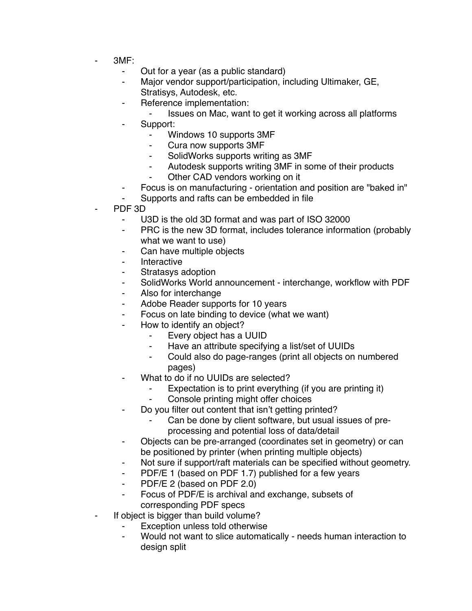- ⁃ 3MF:
	- ⁃ Out for a year (as a public standard)
	- Major vendor support/participation, including Ultimaker, GE, Stratisys, Autodesk, etc.
	- ⁃ Reference implementation:
		- ⁃ Issues on Mac, want to get it working across all platforms
		- ⁃ Support:
			- Windows 10 supports 3MF
			- Cura now supports 3MF
			- ⁃ SolidWorks supports writing as 3MF
			- Autodesk supports writing 3MF in some of their products
			- Other CAD vendors working on it
	- Focus is on manufacturing orientation and position are "baked in"
	- Supports and rafts can be embedded in file
- PDF 3D
	- U3D is the old 3D format and was part of ISO 32000
	- ⁃ PRC is the new 3D format, includes tolerance information (probably what we want to use)
	- Can have multiple objects
	- ⁃ Interactive
	- Stratasys adoption
	- ⁃ SolidWorks World announcement interchange, workflow with PDF
	- Also for interchange
	- ⁃ Adobe Reader supports for 10 years
	- ⁃ Focus on late binding to device (what we want)
	- How to identify an object?
		- ⁃ Every object has a UUID
		- ⁃ Have an attribute specifying a list/set of UUIDs
		- Could also do page-ranges (print all objects on numbered pages)
	- What to do if no UUIDs are selected?
		- Expectation is to print everything (if you are printing it)
		- Console printing might offer choices
	- Do you filter out content that isn't getting printed?
		- Can be done by client software, but usual issues of preprocessing and potential loss of data/detail
	- ⁃ Objects can be pre-arranged (coordinates set in geometry) or can be positioned by printer (when printing multiple objects)
	- Not sure if support/raft materials can be specified without geometry.
	- ⁃ PDF/E 1 (based on PDF 1.7) published for a few years
	- ⁃ PDF/E 2 (based on PDF 2.0)
	- ⁃ Focus of PDF/E is archival and exchange, subsets of corresponding PDF specs
- If object is bigger than build volume?
	- Exception unless told otherwise
	- Would not want to slice automatically needs human interaction to design split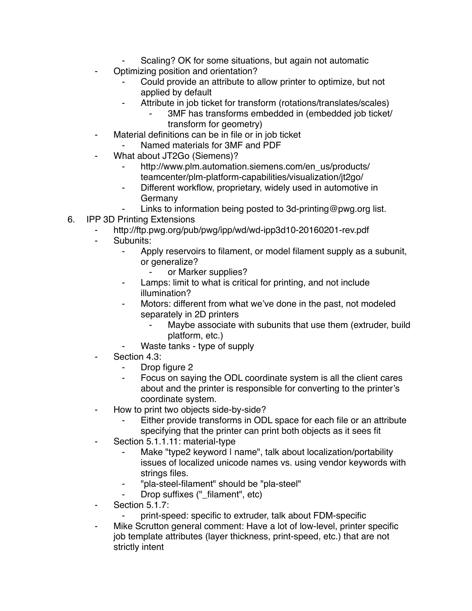- Scaling? OK for some situations, but again not automatic
- Optimizing position and orientation?
	- Could provide an attribute to allow printer to optimize, but not applied by default
	- ⁃ Attribute in job ticket for transform (rotations/translates/scales)
		- 3MF has transforms embedded in (embedded job ticket/ transform for geometry)
- ⁃ Material definitions can be in file or in job ticket
	- Named materials for 3MF and PDF
- ⁃ What about JT2Go (Siemens)?
	- http://www.plm.automation.siemens.com/en\_us/products/ teamcenter/plm-platform-capabilities/visualization/jt2go/
	- ⁃ Different workflow, proprietary, widely used in automotive in Germany
	- Links to information being posted to 3d-printing@pwg.org list.
- 6. IPP 3D Printing Extensions
	- http://ftp.pwg.org/pub/pwg/ipp/wd/wd-ipp3d10-20160201-rev.pdf
	- Subunits:
		- Apply reservoirs to filament, or model filament supply as a subunit, or generalize?
			- or Marker supplies?
		- Lamps: limit to what is critical for printing, and not include illumination?
		- Motors: different from what we've done in the past, not modeled separately in 2D printers
			- Maybe associate with subunits that use them (extruder, build platform, etc.)
			- Waste tanks type of supply
	- Section 4.3:
		- Drop figure 2
		- ⁃ Focus on saying the ODL coordinate system is all the client cares about and the printer is responsible for converting to the printer's coordinate system.
	- How to print two objects side-by-side?
		- Either provide transforms in ODL space for each file or an attribute specifying that the printer can print both objects as it sees fit
	- ⁃ Section 5.1.1.11: material-type
		- Make "type2 keyword I name", talk about localization/portability issues of localized unicode names vs. using vendor keywords with strings files.
		- ⁃ "pla-steel-filament" should be "pla-steel"
		- Drop suffixes ("\_filament", etc)
	- Section 5.1.7:
		- ⁃ print-speed: specific to extruder, talk about FDM-specific
	- ⁃ Mike Scrutton general comment: Have a lot of low-level, printer specific job template attributes (layer thickness, print-speed, etc.) that are not strictly intent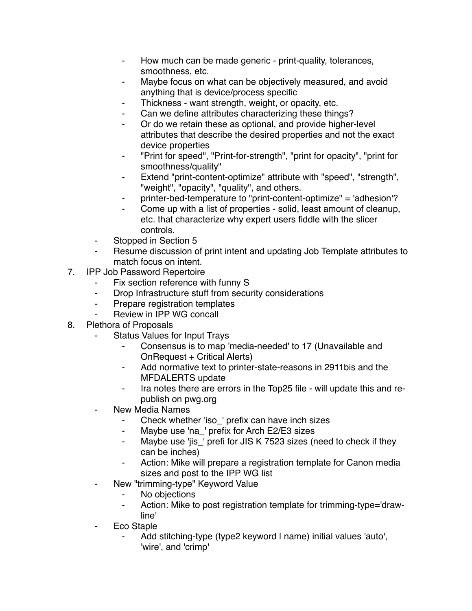- ⁃ How much can be made generic print-quality, tolerances, smoothness, etc.
- Maybe focus on what can be objectively measured, and avoid anything that is device/process specific
- Thickness want strength, weight, or opacity, etc.
- Can we define attributes characterizing these things?
- ⁃ Or do we retain these as optional, and provide higher-level attributes that describe the desired properties and not the exact device properties
- ⁃ "Print for speed", "Print-for-strength", "print for opacity", "print for smoothness/quality"
- ⁃ Extend "print-content-optimize" attribute with "speed", "strength", "weight", "opacity", "quality", and others.
- printer-bed-temperature to "print-content-optimize" = 'adhesion'?
- Come up with a list of properties solid, least amount of cleanup, etc. that characterize why expert users fiddle with the slicer controls.
- Stopped in Section 5
- Resume discussion of print intent and updating Job Template attributes to match focus on intent.
- 7. IPP Job Password Repertoire
	- ⁃ Fix section reference with funny S
	- Drop Infrastructure stuff from security considerations
	- ⁃ Prepare registration templates
	- Review in IPP WG concall
- 8. Plethora of Proposals
	- ⁃ Status Values for Input Trays
		- Consensus is to map 'media-needed' to 17 (Unavailable and OnRequest + Critical Alerts)
		- ⁃ Add normative text to printer-state-reasons in 2911bis and the MFDALERTS update
		- ⁃ Ira notes there are errors in the Top25 file will update this and republish on pwg.org
	- New Media Names
		- ⁃ Check whether 'iso\_' prefix can have inch sizes
		- ⁃ Maybe use 'na\_' prefix for Arch E2/E3 sizes
		- ⁃ Maybe use 'jis\_' prefi for JIS K 7523 sizes (need to check if they can be inches)
		- Action: Mike will prepare a registration template for Canon media sizes and post to the IPP WG list
	- New "trimming-type" Keyword Value
		- ⁃ No objections
		- ⁃ Action: Mike to post registration template for trimming-type='drawline'
	- ⁃ Eco Staple
		- Add stitching-type (type2 keyword I name) initial values 'auto', 'wire', and 'crimp'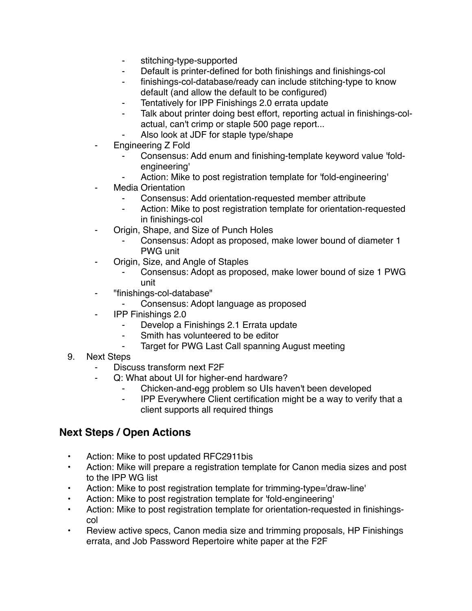- ⁃ stitching-type-supported
- Default is printer-defined for both finishings and finishings-col
- finishings-col-database/ready can include stitching-type to know default (and allow the default to be configured)
- ⁃ Tentatively for IPP Finishings 2.0 errata update
- Talk about printer doing best effort, reporting actual in finishings-colactual, can't crimp or staple 500 page report...
- Also look at JDF for staple type/shape
- Engineering Z Fold
	- ⁃ Consensus: Add enum and finishing-template keyword value 'foldengineering'
	- Action: Mike to post registration template for 'fold-engineering'
- **Media Orientation** 
	- Consensus: Add orientation-requested member attribute
	- Action: Mike to post registration template for orientation-requested in finishings-col
- Origin, Shape, and Size of Punch Holes
	- Consensus: Adopt as proposed, make lower bound of diameter 1 PWG unit
- ⁃ Origin, Size, and Angle of Staples
	- Consensus: Adopt as proposed, make lower bound of size 1 PWG unit
- ⁃ "finishings-col-database"
	- ⁃ Consensus: Adopt language as proposed
- ⁃ IPP Finishings 2.0
	- Develop a Finishings 2.1 Errata update
	- ⁃ Smith has volunteered to be editor
	- ⁃ Target for PWG Last Call spanning August meeting
- 9. Next Steps
	- Discuss transform next F2F
	- ⁃ Q: What about UI for higher-end hardware?
		- ⁃ Chicken-and-egg problem so UIs haven't been developed
		- ⁃ IPP Everywhere Client certification might be a way to verify that a client supports all required things

## **Next Steps / Open Actions**

- Action: Mike to post updated RFC2911bis
- Action: Mike will prepare a registration template for Canon media sizes and post to the IPP WG list
- Action: Mike to post registration template for trimming-type='draw-line'
- Action: Mike to post registration template for 'fold-engineering'
- Action: Mike to post registration template for orientation-requested in finishingscol
- Review active specs, Canon media size and trimming proposals, HP Finishings errata, and Job Password Repertoire white paper at the F2F